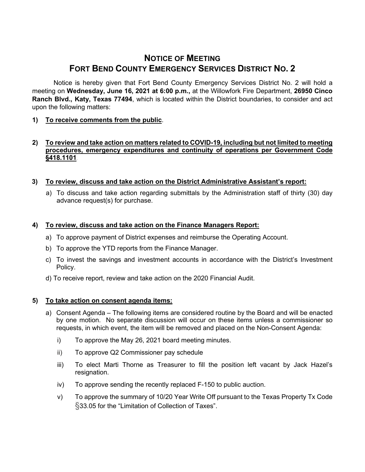# **NOTICE OF MEETING FORT BEND COUNTY EMERGENCY SERVICES DISTRICT NO. 2**

Notice is hereby given that Fort Bend County Emergency Services District No. 2 will hold a meeting on **Wednesday, June 16, 2021 at 6:00 p.m.,** at the Willowfork Fire Department, **26950 Cinco Ranch Blvd., Katy, Texas 77494**, which is located within the District boundaries, to consider and act upon the following matters:

**1) To receive comments from the public**.

## **2) To review and take action on matters related to COVID-19, including but not limited to meeting procedures, emergency expenditures and continuity of operations per Government Code §418.1101**.

## **3) To review, discuss and take action on the District Administrative Assistant's report:**

a) To discuss and take action regarding submittals by the Administration staff of thirty (30) day advance request(s) for purchase.

## **4) To review, discuss and take action on the Finance Managers Report:**

- a) To approve payment of District expenses and reimburse the Operating Account.
- b) To approve the YTD reports from the Finance Manager.
- c) To invest the savings and investment accounts in accordance with the District's Investment Policy.
- d) To receive report, review and take action on the 2020 Financial Audit.

#### **5) To take action on consent agenda items:**

- a) Consent Agenda The following items are considered routine by the Board and will be enacted by one motion. No separate discussion will occur on these items unless a commissioner so requests, in which event, the item will be removed and placed on the Non-Consent Agenda:
	- i) To approve the May 26, 2021 board meeting minutes.
	- ii) To approve Q2 Commissioner pay schedule
	- iii) To elect Marti Thorne as Treasurer to fill the position left vacant by Jack Hazel's resignation.
	- iv) To approve sending the recently replaced F-150 to public auction.
	- v) To approve the summary of 10/20 Year Write Off pursuant to the Texas Property Tx Code §33.05 for the "Limitation of Collection of Taxes".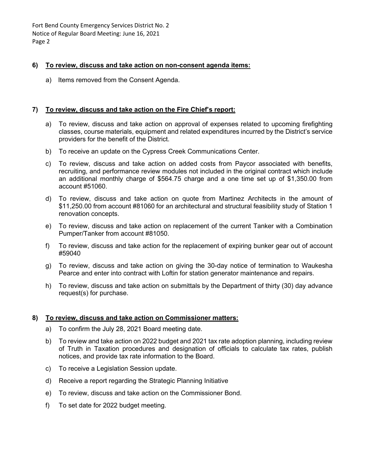Fort Bend County Emergency Services District No. 2 Notice of Regular Board Meeting: June 16, 2021 Page 2

#### **6) To review, discuss and take action on non-consent agenda items:**

a) Items removed from the Consent Agenda.

#### **7) To review, discuss and take action on the Fire Chief's report:**

- a) To review, discuss and take action on approval of expenses related to upcoming firefighting classes, course materials, equipment and related expenditures incurred by the District's service providers for the benefit of the District.
- b) To receive an update on the Cypress Creek Communications Center.
- c) To review, discuss and take action on added costs from Paycor associated with benefits, recruiting, and performance review modules not included in the original contract which include an additional monthly charge of \$564.75 charge and a one time set up of \$1,350.00 from account #51060.
- d) To review, discuss and take action on quote from Martinez Architects in the amount of \$11,250.00 from account #81060 for an architectural and structural feasibility study of Station 1 renovation concepts.
- e) To review, discuss and take action on replacement of the current Tanker with a Combination Pumper/Tanker from account #81050.
- f) To review, discuss and take action for the replacement of expiring bunker gear out of account #59040
- g) To review, discuss and take action on giving the 30-day notice of termination to Waukesha Pearce and enter into contract with Loftin for station generator maintenance and repairs.
- h) To review, discuss and take action on submittals by the Department of thirty (30) day advance request(s) for purchase.

#### **8) To review, discuss and take action on Commissioner matters:**

- a) To confirm the July 28, 2021 Board meeting date.
- b) To review and take action on 2022 budget and 2021 tax rate adoption planning, including review of Truth in Taxation procedures and designation of officials to calculate tax rates, publish notices, and provide tax rate information to the Board.
- c) To receive a Legislation Session update.
- d) Receive a report regarding the Strategic Planning Initiative
- e) To review, discuss and take action on the Commissioner Bond.
- f) To set date for 2022 budget meeting.